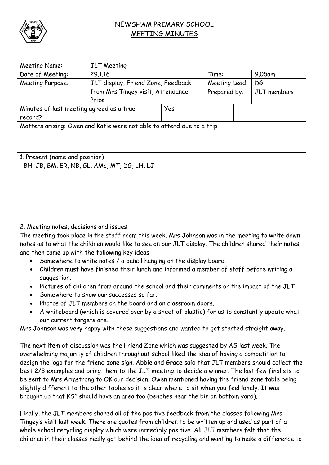

## NEWSHAM PRIMARY SCHOOL MEETING MINUTES

| Meeting Name:                                                          | JLT Meeting                        |     |               |  |             |  |
|------------------------------------------------------------------------|------------------------------------|-----|---------------|--|-------------|--|
| Date of Meeting:                                                       | 29.1.16                            |     | Time:         |  | 9.05am      |  |
| Meeting Purpose:                                                       | JLT display, Friend Zone, Feedback |     | Meeting Lead: |  | DG          |  |
|                                                                        | from Mrs Tingey visit, Attendance  |     | Prepared by:  |  | JLT members |  |
|                                                                        | Prize                              |     |               |  |             |  |
| Minutes of last meeting agreed as a true                               |                                    | Yes |               |  |             |  |
| record?                                                                |                                    |     |               |  |             |  |
| Matters arising: Owen and Katie were not able to attend due to a trip. |                                    |     |               |  |             |  |
|                                                                        |                                    |     |               |  |             |  |

1. Present (name and position) BH, JB, BM, ER, NB, GL, AMc, MT, DG, LH, LJ

## 2. Meeting notes, decisions and issues

The meeting took place in the staff room this week. Mrs Johnson was in the meeting to write down notes as to what the children would like to see on our JLT display. The children shared their notes and then came up with the following key ideas:

- Somewhere to write notes / a pencil hanging on the display board.
- Children must have finished their lunch and informed a member of staff before writing a suggestion.
- Pictures of children from around the school and their comments on the impact of the JLT
- Somewhere to show our successes so far.
- Photos of JLT members on the board and on classroom doors.
- A whiteboard (which is covered over by a sheet of plastic) for us to constantly update what our current targets are.

Mrs Johnson was very happy with these suggestions and wanted to get started straight away.

The next item of discussion was the Friend Zone which was suggested by AS last week. The overwhelming majority of children throughout school liked the idea of having a competition to design the logo for the friend zone sign. Abbie and Grace said that JLT members should collect the best 2/3 examples and bring them to the JLT meeting to decide a winner. The last few finalists to be sent to Mrs Armstrong to OK our decision. Owen mentioned having the friend zone table being slightly different to the other tables so it is clear where to sit when you feel lonely. It was brought up that KS1 should have an area too (benches near the bin on bottom yard).

Finally, the JLT members shared all of the positive feedback from the classes following Mrs Tingey's visit last week. There are quotes from children to be written up and used as part of a whole school recycling display which were incredibly positive. All JLT members felt that the children in their classes really got behind the idea of recycling and wanting to make a difference to